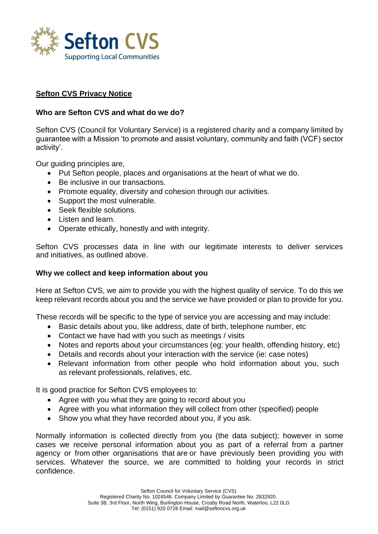

# **Sefton CVS Privacy Notice**

### **Who are Sefton CVS and what do we do?**

Sefton CVS (Council for Voluntary Service) is a registered charity and a company limited by guarantee with a Mission 'to promote and assist voluntary, community and faith (VCF) sector activity'.

Our guiding principles are,

- Put Sefton people, places and organisations at the heart of what we do.
- Be inclusive in our transactions.
- Promote equality, diversity and cohesion through our activities.
- Support the most vulnerable.
- Seek flexible solutions.
- Listen and learn.
- Operate ethically, honestly and with integrity.

Sefton CVS processes data in line with our legitimate interests to deliver services and initiatives, as outlined above.

#### **Why we collect and keep information about you**

Here at Sefton CVS, we aim to provide you with the highest quality of service. To do this we keep relevant records about you and the service we have provided or plan to provide for you.

These records will be specific to the type of service you are accessing and may include:

- Basic details about you, like address, date of birth, telephone number, etc
- Contact we have had with you such as meetings / visits
- Notes and reports about your circumstances (eq: your health, offending history, etc)
- Details and records about your interaction with the service (ie: case notes)
- Relevant information from other people who hold information about you, such as relevant professionals, relatives, etc.

It is good practice for Sefton CVS employees to:

- Agree with you what they are going to record about you
- Agree with you what information they will collect from other (specified) people
- Show you what they have recorded about you, if you ask.

Normally information is collected directly from you (the data subject); however in some cases we receive personal information about you as part of a referral from a partner agency or from other organisations that are or have previously been providing you with services. Whatever the source, we are committed to holding your records in strict confidence.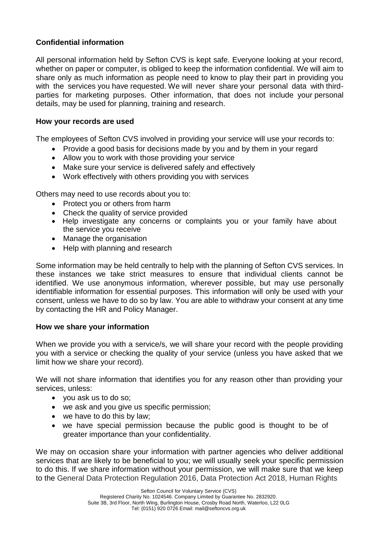# **Confidential information**

All personal information held by Sefton CVS is kept safe. Everyone looking at your record, whether on paper or computer, is obliged to keep the information confidential. We will aim to share only as much information as people need to know to play their part in providing you with the services you have requested. We will never share your personal data with thirdparties for marketing purposes. Other information, that does not include your personal details, may be used for planning, training and research.

## **How your records are used**

The employees of Sefton CVS involved in providing your service will use your records to:

- Provide a good basis for decisions made by you and by them in your regard
- Allow you to work with those providing your service
- Make sure your service is delivered safely and effectively
- Work effectively with others providing you with services

Others may need to use records about you to:

- Protect you or others from harm
- Check the quality of service provided
- Help investigate any concerns or complaints you or your family have about the service you receive
- Manage the organisation
- Help with planning and research

Some information may be held centrally to help with the planning of Sefton CVS services. In these instances we take strict measures to ensure that individual clients cannot be identified. We use anonymous information, wherever possible, but may use personally identifiable information for essential purposes. This information will only be used with your consent, unless we have to do so by law. You are able to withdraw your consent at any time by contacting the HR and Policy Manager.

### **How we share your information**

When we provide you with a service/s, we will share your record with the people providing you with a service or checking the quality of your service (unless you have asked that we limit how we share your record).

We will not share information that identifies you for any reason other than providing your services, unless:

- you ask us to do so;
- we ask and you give us specific permission;
- we have to do this by law;
- we have special permission because the public good is thought to be of greater importance than your confidentiality.

We may on occasion share your information with partner agencies who deliver additional services that are likely to be beneficial to you; we will usually seek your specific permission to do this. If we share information without your permission, we will make sure that we keep to the General Data Protection Regulation 2016, Data Protection Act 2018, Human Rights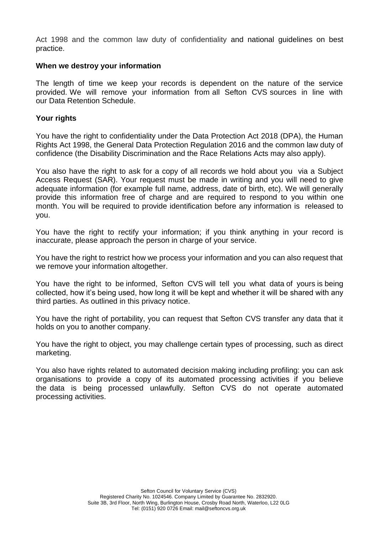Act 1998 and the common law duty of confidentiality and national guidelines on best practice.

### **When we destroy your information**

The length of time we keep your records is dependent on the nature of the service provided. We will remove your information from all Sefton CVS sources in line with our Data Retention Schedule.

## **Your rights**

You have the right to confidentiality under the Data Protection Act 2018 (DPA), the Human Rights Act 1998, the General Data Protection Regulation 2016 and the common law duty of confidence (the Disability Discrimination and the Race Relations Acts may also apply).

You also have the right to ask for a copy of all records we hold about you via a Subject Access Request (SAR). Your request must be made in writing and you will need to give adequate information (for example full name, address, date of birth, etc). We will generally provide this information free of charge and are required to respond to you within one month. You will be required to provide identification before any information is released to you.

You have the right to rectify your information; if you think anything in your record is inaccurate, please approach the person in charge of your service.

You have the right to restrict how we process your information and you can also request that we remove your information altogether.

You have the right to be informed, Sefton CVS will tell you what data of yours is being collected, how it's being used, how long it will be kept and whether it will be shared with any third parties. As outlined in this privacy notice.

You have the right of portability, you can request that Sefton CVS transfer any data that it holds on you to another company.

You have the right to object, you may challenge certain types of processing, such as direct marketing.

You also have rights related to automated decision making including profiling: you can ask organisations to provide a copy of its automated processing activities if you believe the data is being processed unlawfully. Sefton CVS do not operate automated processing activities.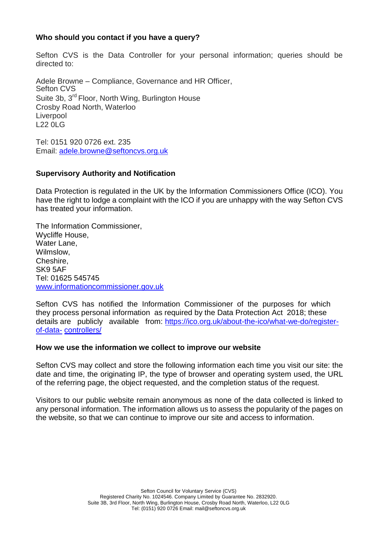## **Who should you contact if you have a query?**

Sefton CVS is the Data Controller for your personal information; queries should be directed to:

Adele Browne – Compliance, Governance and HR Officer, Sefton CVS Suite 3b, 3<sup>rd</sup> Floor, North Wing, Burlington House Crosby Road North, Waterloo **Liverpool** L22 0LG

Tel: 0151 920 0726 ext. 235 Email: [adele.browne@seftoncvs.org.uk](mailto:adele.browne@seftoncvs.org.uk)

### **Supervisory Authority and Notification**

Data Protection is regulated in the UK by the Information Commissioners Office (ICO). You have the right to lodge a complaint with the ICO if you are unhappy with the way Sefton CVS has treated your information.

The Information Commissioner, Wycliffe House, Water Lane, Wilmslow, Cheshire, SK9 5AF Tel: 01625 545745 [www.informationcommissioner.gov.uk](http://www.informationcommissioner.gov.uk/)

Sefton CVS has notified the Information Commissioner of the purposes for which they process personal information as required by the Data Protection Act 2018; these details are publicly available from: [https://ico.org.uk/about-the-ico/what-we-do/register](https://ico.org.uk/about-the-ico/what-we-do/register-of-data-)[of-data-](https://ico.org.uk/about-the-ico/what-we-do/register-of-data-) [controllers/](https://ico.org.uk/about-the-ico/what-we-do/register-of-data-controllers/)

#### **How we use the information we collect to improve our website**

Sefton CVS may collect and store the following information each time you visit our site: the date and time, the originating IP, the type of browser and operating system used, the URL of the referring page, the object requested, and the completion status of the request.

Visitors to our public website remain anonymous as none of the data collected is linked to any personal information. The information allows us to assess the popularity of the pages on the website, so that we can continue to improve our site and access to information.